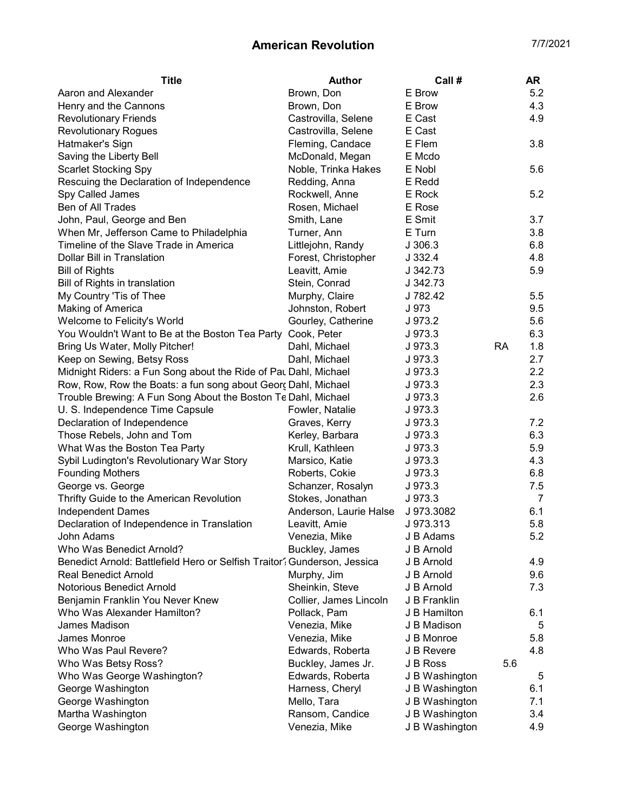## American Revolution **7/7/2021**

| <b>Title</b>                                                             | <b>Author</b>          | Call #         |           | <b>AR</b> |
|--------------------------------------------------------------------------|------------------------|----------------|-----------|-----------|
| Aaron and Alexander                                                      | Brown, Don             | E Brow         |           | 5.2       |
| Henry and the Cannons                                                    | Brown, Don             | E Brow         |           | 4.3       |
| <b>Revolutionary Friends</b>                                             | Castrovilla, Selene    | E Cast         |           | 4.9       |
| <b>Revolutionary Rogues</b>                                              | Castrovilla, Selene    | E Cast         |           |           |
| Hatmaker's Sign                                                          | Fleming, Candace       | E Flem         |           | 3.8       |
| Saving the Liberty Bell                                                  | McDonald, Megan        | E Mcdo         |           |           |
| <b>Scarlet Stocking Spy</b>                                              | Noble, Trinka Hakes    | E Nobl         |           | 5.6       |
| Rescuing the Declaration of Independence                                 | Redding, Anna          | E Redd         |           |           |
| Spy Called James                                                         | Rockwell, Anne         | E Rock         |           | 5.2       |
| Ben of All Trades                                                        | Rosen, Michael         | E Rose         |           |           |
| John, Paul, George and Ben                                               | Smith, Lane            | E Smit         |           | 3.7       |
| When Mr, Jefferson Came to Philadelphia                                  | Turner, Ann            | E Turn         |           | 3.8       |
| Timeline of the Slave Trade in America                                   | Littlejohn, Randy      | J306.3         |           | 6.8       |
| Dollar Bill in Translation                                               | Forest, Christopher    | J 332.4        |           | 4.8       |
| <b>Bill of Rights</b>                                                    | Leavitt, Amie          | J 342.73       |           | 5.9       |
| Bill of Rights in translation                                            | Stein, Conrad          | J 342.73       |           |           |
| My Country 'Tis of Thee                                                  | Murphy, Claire         | J 782.42       |           | 5.5       |
| Making of America                                                        | Johnston, Robert       | J 973          |           | 9.5       |
| Welcome to Felicity's World                                              | Gourley, Catherine     | J 973.2        |           | 5.6       |
| You Wouldn't Want to Be at the Boston Tea Party Cook, Peter              |                        | J 973.3        |           | 6.3       |
| Bring Us Water, Molly Pitcher!                                           | Dahl, Michael          | J 973.3        | <b>RA</b> | 1.8       |
| Keep on Sewing, Betsy Ross                                               | Dahl, Michael          | J 973.3        |           | 2.7       |
| Midnight Riders: a Fun Song about the Ride of Pau Dahl, Michael          |                        | J 973.3        |           | 2.2       |
| Row, Row, Row the Boats: a fun song about Georς Dahl, Michael            |                        | J 973.3        |           | 2.3       |
| Trouble Brewing: A Fun Song About the Boston Te Dahl, Michael            |                        | J 973.3        |           | 2.6       |
| U. S. Independence Time Capsule                                          | Fowler, Natalie        | J 973.3        |           |           |
| Declaration of Independence                                              | Graves, Kerry          | J 973.3        |           | 7.2       |
| Those Rebels, John and Tom                                               | Kerley, Barbara        | J 973.3        |           | 6.3       |
| What Was the Boston Tea Party                                            | Krull, Kathleen        | J 973.3        |           | 5.9       |
| Sybil Ludington's Revolutionary War Story                                | Marsico, Katie         | J 973.3        |           | 4.3       |
| <b>Founding Mothers</b>                                                  | Roberts, Cokie         | J 973.3        |           | 6.8       |
| George vs. George                                                        | Schanzer, Rosalyn      | J 973.3        |           | 7.5       |
| Thrifty Guide to the American Revolution                                 | Stokes, Jonathan       | J 973.3        |           | 7         |
| <b>Independent Dames</b>                                                 | Anderson, Laurie Halse | J 973.3082     |           | 6.1       |
| Declaration of Independence in Translation                               | Leavitt, Amie          | J 973.313      |           | 5.8       |
| John Adams                                                               | Venezia, Mike          | J B Adams      |           | 5.2       |
| Who Was Benedict Arnold?                                                 | Buckley, James         | J B Arnold     |           |           |
| Benedict Arnold: Battlefield Hero or Selfish Traitor? Gunderson, Jessica |                        | J B Arnold     |           | 4.9       |
| <b>Real Benedict Arnold</b>                                              | Murphy, Jim            | J B Arnold     |           | 9.6       |
| Notorious Benedict Arnold                                                | Sheinkin, Steve        | J B Arnold     |           | 7.3       |
| Benjamin Franklin You Never Knew                                         | Collier, James Lincoln | J B Franklin   |           |           |
| Who Was Alexander Hamilton?                                              | Pollack, Pam           | J B Hamilton   |           | 6.1       |
| James Madison                                                            | Venezia, Mike          | J B Madison    |           | 5         |
| James Monroe                                                             | Venezia, Mike          | J B Monroe     |           | 5.8       |
| Who Was Paul Revere?                                                     | Edwards, Roberta       | J B Revere     |           | 4.8       |
| Who Was Betsy Ross?                                                      | Buckley, James Jr.     | J B Ross       | 5.6       |           |
| Who Was George Washington?                                               | Edwards, Roberta       | J B Washington |           | 5         |
| George Washington                                                        | Harness, Cheryl        | J B Washington |           | 6.1       |
| George Washington                                                        | Mello, Tara            | J B Washington |           | 7.1       |
| Martha Washington                                                        | Ransom, Candice        | J B Washington |           | 3.4       |
| George Washington                                                        | Venezia, Mike          | J B Washington |           | 4.9       |